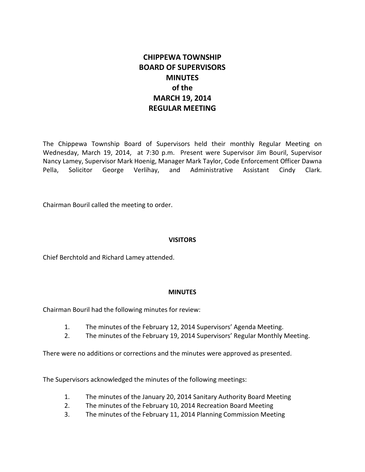# **CHIPPEWA TOWNSHIP BOARD OF SUPERVISORS MINUTES of the MARCH 19, 2014 REGULAR MEETING**

The Chippewa Township Board of Supervisors held their monthly Regular Meeting on Wednesday, March 19, 2014, at 7:30 p.m. Present were Supervisor Jim Bouril, Supervisor Nancy Lamey, Supervisor Mark Hoenig, Manager Mark Taylor, Code Enforcement Officer Dawna Pella, Solicitor George Verlihay, and Administrative Assistant Cindy Clark.

Chairman Bouril called the meeting to order.

#### **VISITORS**

Chief Berchtold and Richard Lamey attended.

## **MINUTES**

Chairman Bouril had the following minutes for review:

- 1. The minutes of the February 12, 2014 Supervisors' Agenda Meeting.
- 2. The minutes of the February 19, 2014 Supervisors' Regular Monthly Meeting.

There were no additions or corrections and the minutes were approved as presented.

The Supervisors acknowledged the minutes of the following meetings:

- 1. The minutes of the January 20, 2014 Sanitary Authority Board Meeting
- 2. The minutes of the February 10, 2014 Recreation Board Meeting
- 3. The minutes of the February 11, 2014 Planning Commission Meeting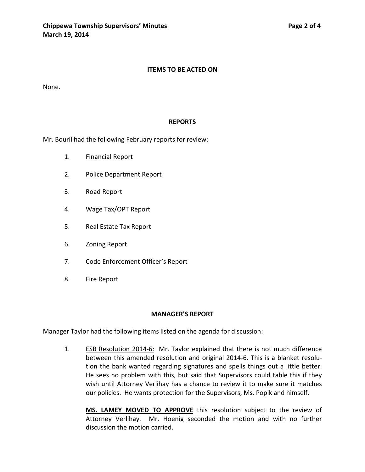#### **ITEMS TO BE ACTED ON**

None.

#### **REPORTS**

Mr. Bouril had the following February reports for review:

- 1. Financial Report
- 2. Police Department Report
- 3. Road Report
- 4. Wage Tax/OPT Report
- 5. Real Estate Tax Report
- 6. Zoning Report
- 7. Code Enforcement Officer's Report
- 8. Fire Report

#### **MANAGER'S REPORT**

Manager Taylor had the following items listed on the agenda for discussion:

1. ESB Resolution 2014-6: Mr. Taylor explained that there is not much difference between this amended resolution and original 2014-6. This is a blanket resolution the bank wanted regarding signatures and spells things out a little better. He sees no problem with this, but said that Supervisors could table this if they wish until Attorney Verlihay has a chance to review it to make sure it matches our policies. He wants protection for the Supervisors, Ms. Popik and himself.

**MS. LAMEY MOVED TO APPROVE** this resolution subject to the review of Attorney Verlihay. Mr. Hoenig seconded the motion and with no further discussion the motion carried.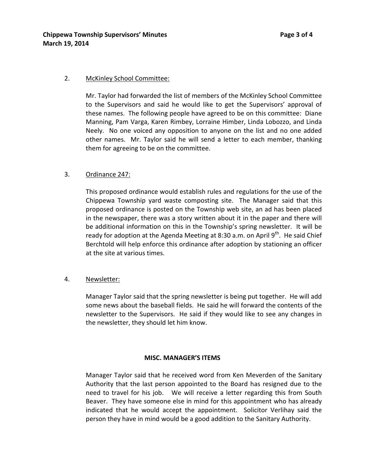#### 2. McKinley School Committee:

Mr. Taylor had forwarded the list of members of the McKinley School Committee to the Supervisors and said he would like to get the Supervisors' approval of these names. The following people have agreed to be on this committee: Diane Manning, Pam Varga, Karen Rimbey, Lorraine Himber, Linda Lobozzo, and Linda Neely. No one voiced any opposition to anyone on the list and no one added other names. Mr. Taylor said he will send a letter to each member, thanking them for agreeing to be on the committee.

## 3. Ordinance 247:

This proposed ordinance would establish rules and regulations for the use of the Chippewa Township yard waste composting site. The Manager said that this proposed ordinance is posted on the Township web site, an ad has been placed in the newspaper, there was a story written about it in the paper and there will be additional information on this in the Township's spring newsletter. It will be ready for adoption at the Agenda Meeting at 8:30 a.m. on April  $9<sup>th</sup>$ . He said Chief Berchtold will help enforce this ordinance after adoption by stationing an officer at the site at various times.

## 4. Newsletter:

Manager Taylor said that the spring newsletter is being put together. He will add some news about the baseball fields. He said he will forward the contents of the newsletter to the Supervisors. He said if they would like to see any changes in the newsletter, they should let him know.

#### **MISC. MANAGER'S ITEMS**

Manager Taylor said that he received word from Ken Meverden of the Sanitary Authority that the last person appointed to the Board has resigned due to the need to travel for his job. We will receive a letter regarding this from South Beaver. They have someone else in mind for this appointment who has already indicated that he would accept the appointment. Solicitor Verlihay said the person they have in mind would be a good addition to the Sanitary Authority.